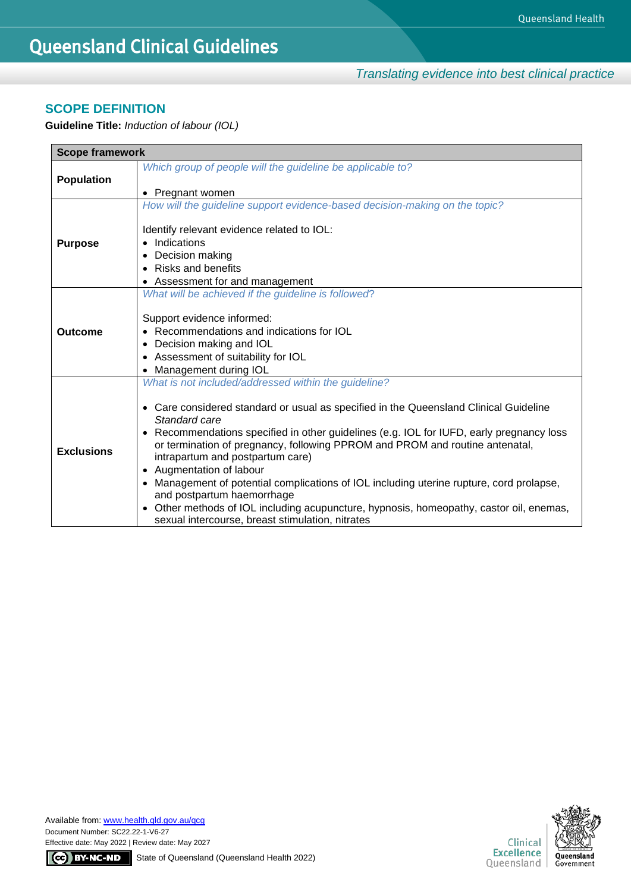*Translating evidence into best clinical practice*

## **SCOPE DEFINITION**

**Guideline Title:** *Induction of labour (IOL)*

| <b>Scope framework</b>                                                      |                                                                                                                                                                                                                         |  |  |
|-----------------------------------------------------------------------------|-------------------------------------------------------------------------------------------------------------------------------------------------------------------------------------------------------------------------|--|--|
|                                                                             | Which group of people will the guideline be applicable to?                                                                                                                                                              |  |  |
| <b>Population</b>                                                           |                                                                                                                                                                                                                         |  |  |
|                                                                             | Pregnant women<br>$\bullet$                                                                                                                                                                                             |  |  |
| How will the guideline support evidence-based decision-making on the topic? |                                                                                                                                                                                                                         |  |  |
|                                                                             |                                                                                                                                                                                                                         |  |  |
|                                                                             | Identify relevant evidence related to IOL:                                                                                                                                                                              |  |  |
| <b>Purpose</b>                                                              | Indications<br>$\bullet$                                                                                                                                                                                                |  |  |
|                                                                             | Decision making                                                                                                                                                                                                         |  |  |
|                                                                             | <b>Risks and benefits</b><br>$\bullet$                                                                                                                                                                                  |  |  |
|                                                                             | Assessment for and management                                                                                                                                                                                           |  |  |
|                                                                             | What will be achieved if the guideline is followed?                                                                                                                                                                     |  |  |
|                                                                             |                                                                                                                                                                                                                         |  |  |
|                                                                             | Support evidence informed:                                                                                                                                                                                              |  |  |
| <b>Outcome</b>                                                              | Recommendations and indications for IOL                                                                                                                                                                                 |  |  |
|                                                                             | Decision making and IOL<br>$\bullet$                                                                                                                                                                                    |  |  |
|                                                                             | Assessment of suitability for IOL<br>$\bullet$                                                                                                                                                                          |  |  |
|                                                                             | Management during IOL<br>$\bullet$                                                                                                                                                                                      |  |  |
|                                                                             | What is not included/addressed within the guideline?                                                                                                                                                                    |  |  |
|                                                                             | Care considered standard or usual as specified in the Queensland Clinical Guideline<br>$\bullet$<br>Standard care                                                                                                       |  |  |
| <b>Exclusions</b>                                                           | Recommendations specified in other guidelines (e.g. IOL for IUFD, early pregnancy loss<br>$\bullet$<br>or termination of pregnancy, following PPROM and PROM and routine antenatal,<br>intrapartum and postpartum care) |  |  |
|                                                                             | • Augmentation of labour                                                                                                                                                                                                |  |  |
|                                                                             | Management of potential complications of IOL including uterine rupture, cord prolapse,<br>$\bullet$<br>and postpartum haemorrhage                                                                                       |  |  |
|                                                                             | Other methods of IOL including acupuncture, hypnosis, homeopathy, castor oil, enemas,<br>$\bullet$<br>sexual intercourse, breast stimulation, nitrates                                                                  |  |  |

Available from[: www.health.qld.gov.au/qcg](http://www.health.qld.gov.au/qcg) Document Number: SC22.22-1-V6-27 Effective date: May 2022 | Review date: May 2027